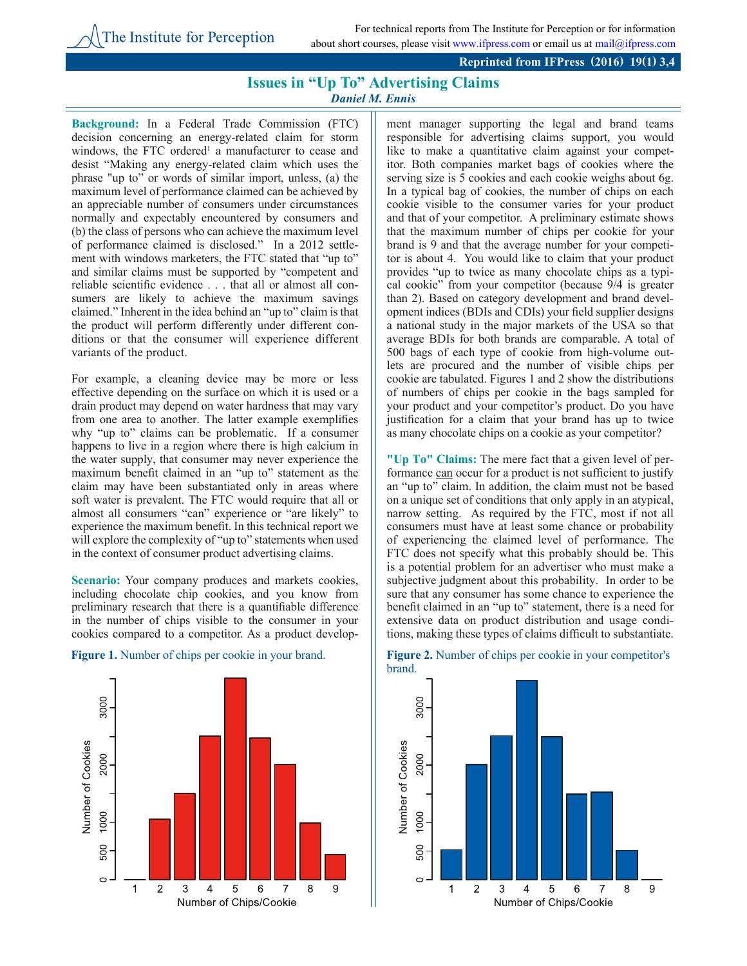## **Reprinted from IFPress (2016) 19(1) 3,4**

## **Issues in "Up To" Advertising Claims** *Daniel M. Ennis*

**Background:** In a Federal Trade Commission (FTC) decision concerning an energy-related claim for storm windows, the FTC ordered<sup>1</sup> a manufacturer to cease and desist "Making any energy-related claim which uses the phrase "up to" or words of similar import, unless, (a) the maximum level of performance claimed can be achieved by an appreciable number of consumers under circumstances normally and expectably encountered by consumers and (b) the class of persons who can achieve the maximum level of performance claimed is disclosed." In a 2012 settlement with windows marketers, the FTC stated that "up to" and similar claims must be supported by "competent and reliable scientific evidence . . . that all or almost all consumers are likely to achieve the maximum savings claimed." Inherent in the idea behind an "up to" claim is that the product will perform differently under different conditions or that the consumer will experience different variants of the product.

For example, a cleaning device may be more or less effective depending on the surface on which it is used or a drain product may depend on water hardness that may vary from one area to another. The latter example exemplifies why "up to" claims can be problematic. If a consumer happens to live in a region where there is high calcium in the water supply, that consumer may never experience the maximum benefit claimed in an "up to" statement as the claim may have been substantiated only in areas where soft water is prevalent. The FTC would require that all or almost all consumers "can" experience or "are likely" to experience the maximum benefit. In this technical report we will explore the complexity of "up to" statements when used in the context of consumer product advertising claims.

Scenario: Your company produces and markets cookies, including chocolate chip cookies, and you know from preliminary research that there is a quantifiable difference in the number of chips visible to the consumer in your cookies compared to a competitor. As a product develop-



ment manager supporting the legal and brand teams responsible for advertising claims support, you would like to make a quantitative claim against your competitor. Both companies market bags of cookies where the serving size is 5 cookies and each cookie weighs about 6g. In a typical bag of cookies, the number of chips on each cookie visible to the consumer varies for your product and that of your competitor. A preliminary estimate shows that the maximum number of chips per cookie for your brand is 9 and that the average number for your competitor is about 4. You would like to claim that your product provides "up to twice as many chocolate chips as a typical cookie" from your competitor (because 9/4 is greater than 2). Based on category development and brand development indices (BDIs and CDIs) your field supplier designs a national study in the major markets of the USA so that average BDIs for both brands are comparable. A total of 500 bags of each type of cookie from high-volume outlets are procured and the number of visible chips per cookie are tabulated. Figures 1 and 2 show the distributions of numbers of chips per cookie in the bags sampled for your product and your competitor's product. Do you have justification for a claim that your brand has up to twice as many chocolate chips on a cookie as your competitor?

**"Up To" Claims:** The mere fact that a given level of performance can occur for a product is not sufficient to justify an "up to" claim. In addition, the claim must not be based on a unique set of conditions that only apply in an atypical, narrow setting. As required by the FTC, most if not all consumers must have at least some chance or probability of experiencing the claimed level of performance. The FTC does not specify what this probably should be. This is a potential problem for an advertiser who must make a subjective judgment about this probability. In order to be sure that any consumer has some chance to experience the benefit claimed in an "up to" statement, there is a need for extensive data on product distribution and usage conditions, making these types of claims difficult to substantiate.



## **Figure 1.** Number of chips per cookie in your brand. **Figure 2.** Number of chips per cookie in your competitor's brand.